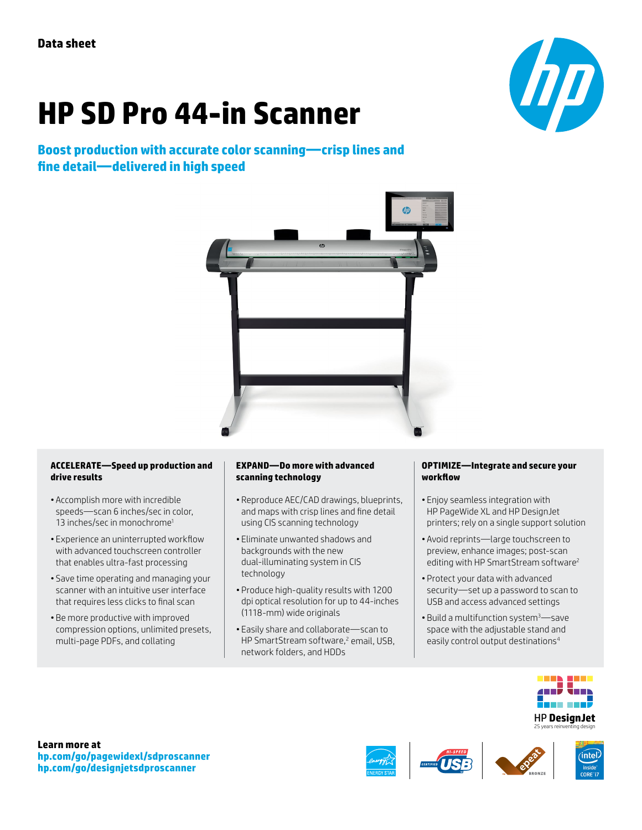# **HP SD Pro 44-in Scanner**

## **Boost production with accurate color scanning—crisp lines and fine detail—delivered in high speed**





### **ACCELERATE—Speed up production and drive results**

- Accomplish more with incredible speeds—scan 6 inches/sec in color, 13 inches/sec in monochrome<sup>1</sup>
- Experience an uninterrupted workflow with advanced touchscreen controller that enables ultra-fast processing
- Save time operating and managing your scanner with an intuitive user interface that requires less clicks to final scan
- Be more productive with improved compression options, unlimited presets, multi-page PDFs, and collating

#### **EXPAND—Do more with advanced scanning technology**

- Reproduce AEC/CAD drawings, blueprints, and maps with crisp lines and fine detail using CIS scanning technology
- Eliminate unwanted shadows and backgrounds with the new dual-illuminating system in CIS technology
- Produce high-quality results with 1200 dpi optical resolution for up to 44-inches (1118-mm) wide originals
- Easily share and collaborate—scan to HP SmartStream software,<sup>2</sup> email, USB, network folders, and HDDs

#### **OPTIMIZE—Integrate and secure your workflow**

- Enjoy seamless integration with HP PageWide XL and HP DesignJet printers; rely on a single support solution
- Avoid reprints—large touchscreen to preview, enhance images; post-scan editing with HP SmartStream software<sup>2</sup>
- Protect your data with advanced security—set up a password to scan to USB and access advanced settings
- Build a multifunction system3—save space with the adjustable stand and easily control output destinations<sup>4</sup>